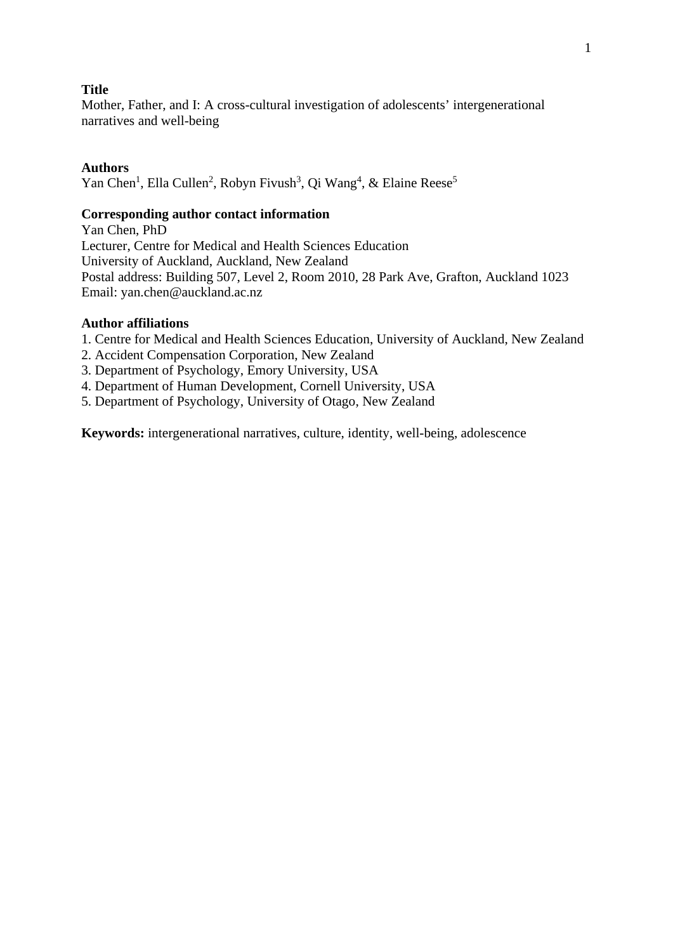### **Title**

Mother, Father, and I: A cross-cultural investigation of adolescents' intergenerational narratives and well-being

#### **Authors**

Yan Chen<sup>1</sup>, Ella Cullen<sup>2</sup>, Robyn Fivush<sup>3</sup>, Qi Wang<sup>4</sup>, & Elaine Reese<sup>5</sup>

#### **Corresponding author contact information**

Yan Chen, PhD Lecturer, Centre for Medical and Health Sciences Education University of Auckland, Auckland, New Zealand Postal address: Building 507, Level 2, Room 2010, 28 Park Ave, Grafton, Auckland 1023 Email: yan.chen@auckland.ac.nz

#### **Author affiliations**

1. Centre for Medical and Health Sciences Education, University of Auckland, New Zealand

2. Accident Compensation Corporation, New Zealand

- 3. Department of Psychology, Emory University, USA
- 4. Department of Human Development, Cornell University, USA
- 5. Department of Psychology, University of Otago, New Zealand

**Keywords:** intergenerational narratives, culture, identity, well-being, adolescence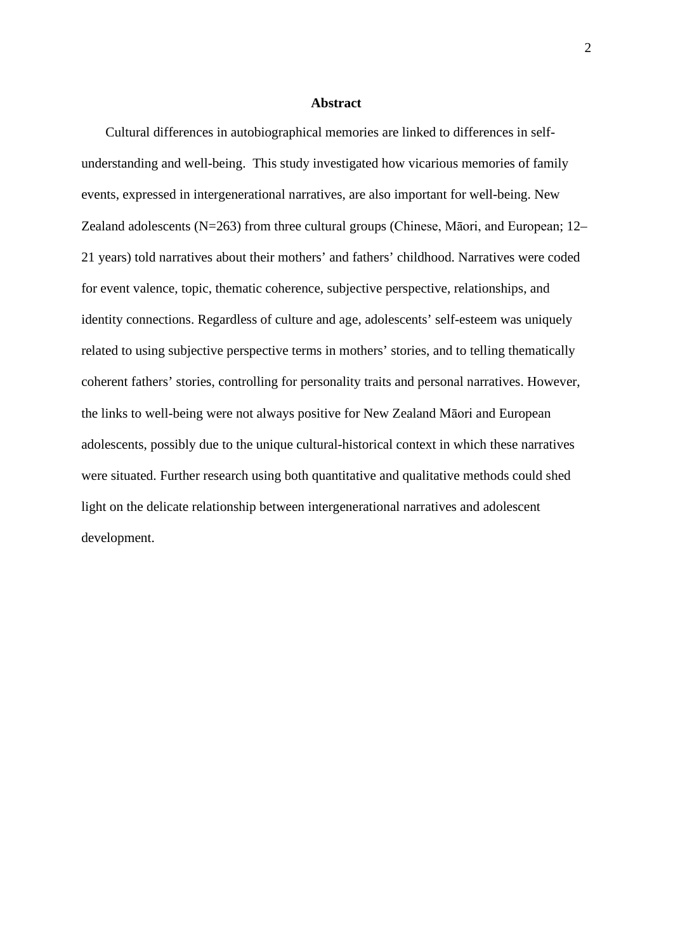#### **Abstract**

Cultural differences in autobiographical memories are linked to differences in selfunderstanding and well-being. This study investigated how vicarious memories of family events, expressed in intergenerational narratives, are also important for well-being. New Zealand adolescents (N=263) from three cultural groups (Chinese, Māori, and European; 12– 21 years) told narratives about their mothers' and fathers' childhood. Narratives were coded for event valence, topic, thematic coherence, subjective perspective, relationships, and identity connections. Regardless of culture and age, adolescents' self-esteem was uniquely related to using subjective perspective terms in mothers' stories, and to telling thematically coherent fathers' stories, controlling for personality traits and personal narratives. However, the links to well-being were not always positive for New Zealand Māori and European adolescents, possibly due to the unique cultural-historical context in which these narratives were situated. Further research using both quantitative and qualitative methods could shed light on the delicate relationship between intergenerational narratives and adolescent development.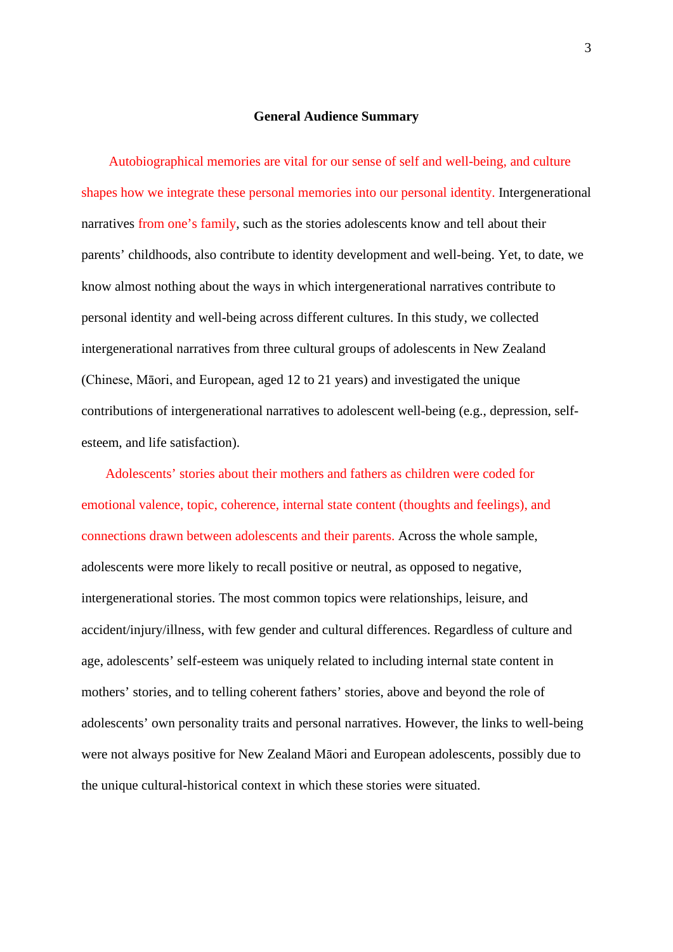#### **General Audience Summary**

Autobiographical memories are vital for our sense of self and well-being, and culture shapes how we integrate these personal memories into our personal identity. Intergenerational narratives from one's family, such as the stories adolescents know and tell about their parents' childhoods, also contribute to identity development and well-being. Yet, to date, we know almost nothing about the ways in which intergenerational narratives contribute to personal identity and well-being across different cultures. In this study, we collected intergenerational narratives from three cultural groups of adolescents in New Zealand (Chinese, Māori, and European, aged 12 to 21 years) and investigated the unique contributions of intergenerational narratives to adolescent well-being (e.g., depression, selfesteem, and life satisfaction).

Adolescents' stories about their mothers and fathers as children were coded for emotional valence, topic, coherence, internal state content (thoughts and feelings), and connections drawn between adolescents and their parents. Across the whole sample, adolescents were more likely to recall positive or neutral, as opposed to negative, intergenerational stories. The most common topics were relationships, leisure, and accident/injury/illness, with few gender and cultural differences. Regardless of culture and age, adolescents' self-esteem was uniquely related to including internal state content in mothers' stories, and to telling coherent fathers' stories, above and beyond the role of adolescents' own personality traits and personal narratives. However, the links to well-being were not always positive for New Zealand Māori and European adolescents, possibly due to the unique cultural-historical context in which these stories were situated.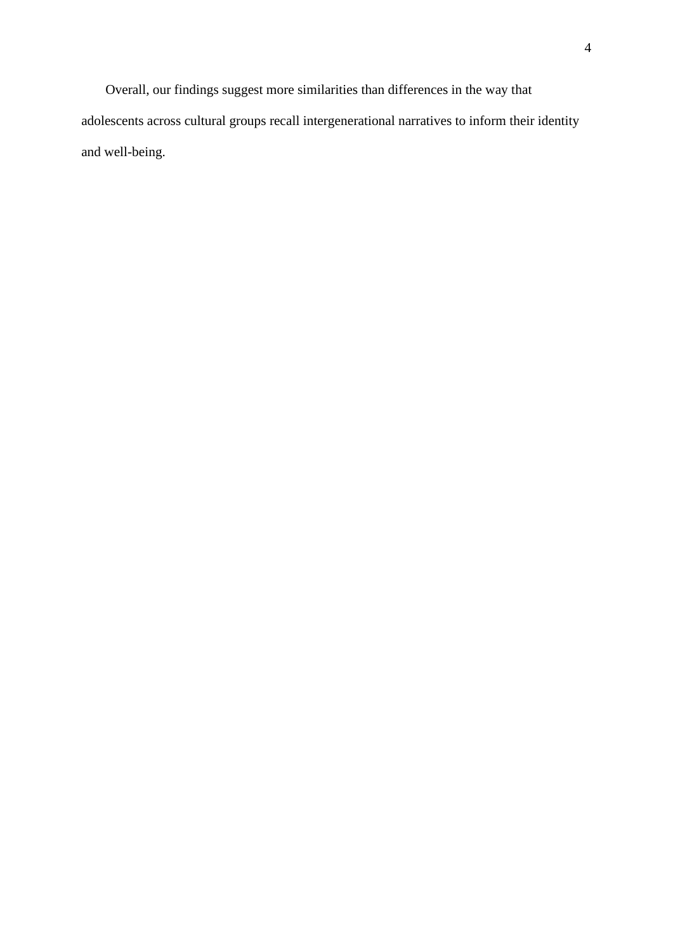Overall, our findings suggest more similarities than differences in the way that adolescents across cultural groups recall intergenerational narratives to inform their identity and well-being.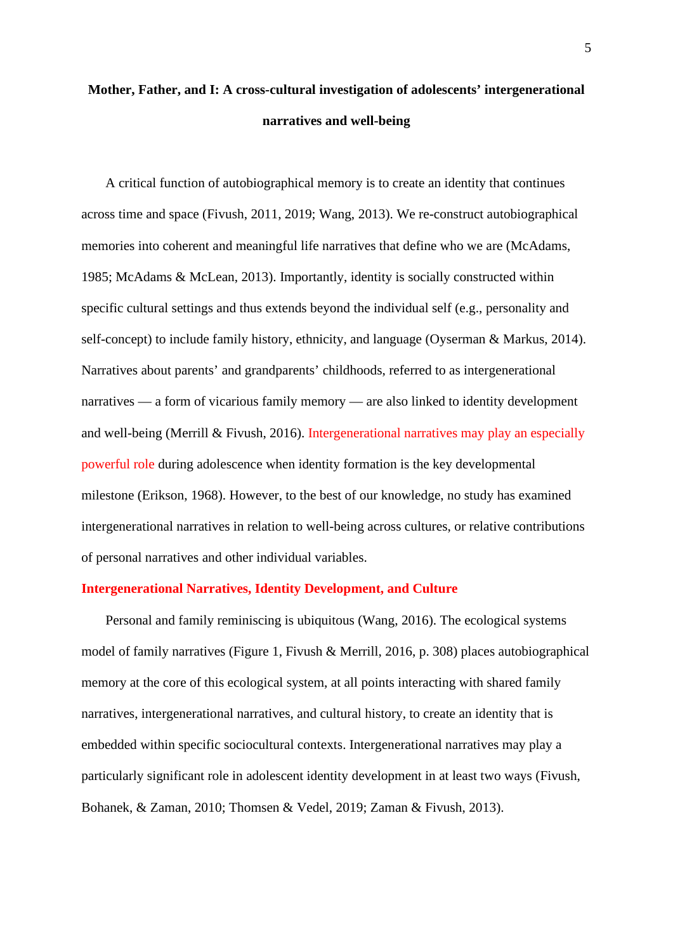# **Mother, Father, and I: A cross-cultural investigation of adolescents' intergenerational narratives and well-being**

A critical function of autobiographical memory is to create an identity that continues across time and space (Fivush, 2011, 2019; Wang, 2013). We re-construct autobiographical memories into coherent and meaningful life narratives that define who we are (McAdams, 1985; McAdams & McLean, 2013). Importantly, identity is socially constructed within specific cultural settings and thus extends beyond the individual self (e.g., personality and self-concept) to include family history, ethnicity, and language (Oyserman & Markus, 2014). Narratives about parents' and grandparents' childhoods, referred to as intergenerational narratives — a form of vicarious family memory — are also linked to identity development and well-being (Merrill & Fivush, 2016). Intergenerational narratives may play an especially powerful role during adolescence when identity formation is the key developmental milestone (Erikson, 1968). However, to the best of our knowledge, no study has examined intergenerational narratives in relation to well-being across cultures, or relative contributions of personal narratives and other individual variables.

#### **Intergenerational Narratives, Identity Development, and Culture**

Personal and family reminiscing is ubiquitous (Wang, 2016). The ecological systems model of family narratives (Figure 1, Fivush & Merrill, 2016, p. 308) places autobiographical memory at the core of this ecological system, at all points interacting with shared family narratives, intergenerational narratives, and cultural history, to create an identity that is embedded within specific sociocultural contexts. Intergenerational narratives may play a particularly significant role in adolescent identity development in at least two ways (Fivush, Bohanek, & Zaman, 2010; Thomsen & Vedel, 2019; Zaman & Fivush, 2013).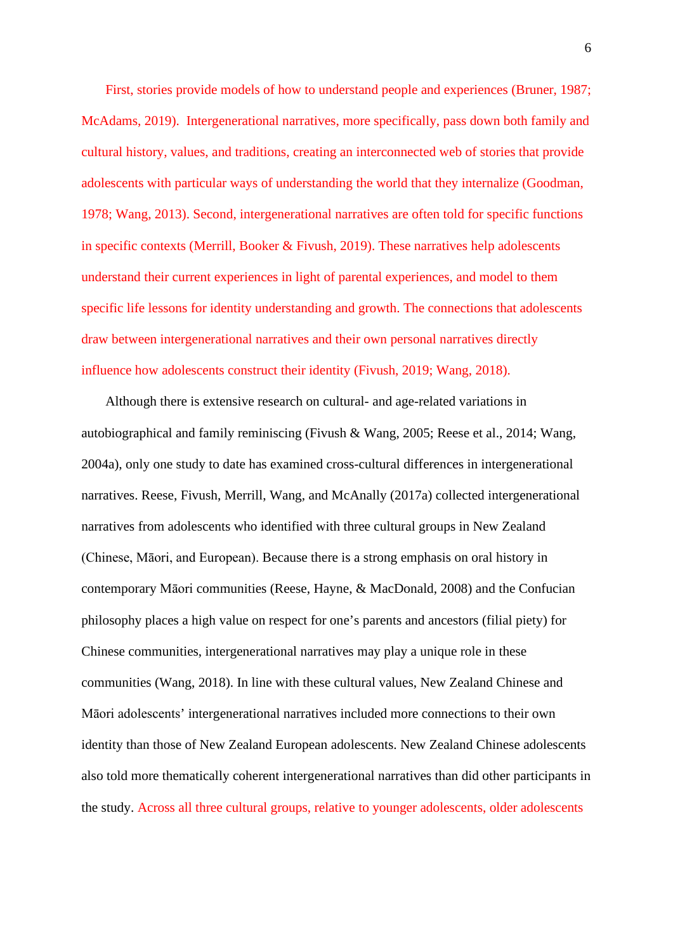First, stories provide models of how to understand people and experiences (Bruner, 1987; McAdams, 2019). Intergenerational narratives, more specifically, pass down both family and cultural history, values, and traditions, creating an interconnected web of stories that provide adolescents with particular ways of understanding the world that they internalize (Goodman, 1978; Wang, 2013). Second, intergenerational narratives are often told for specific functions in specific contexts (Merrill, Booker & Fivush, 2019). These narratives help adolescents understand their current experiences in light of parental experiences, and model to them specific life lessons for identity understanding and growth. The connections that adolescents draw between intergenerational narratives and their own personal narratives directly influence how adolescents construct their identity (Fivush, 2019; Wang, 2018).

Although there is extensive research on cultural- and age-related variations in autobiographical and family reminiscing (Fivush & Wang, 2005; Reese et al., 2014; Wang, 2004a), only one study to date has examined cross-cultural differences in intergenerational narratives. Reese, Fivush, Merrill, Wang, and McAnally (2017a) collected intergenerational narratives from adolescents who identified with three cultural groups in New Zealand (Chinese, Māori, and European). Because there is a strong emphasis on oral history in contemporary Māori communities (Reese, Hayne, & MacDonald, 2008) and the Confucian philosophy places a high value on respect for one's parents and ancestors (filial piety) for Chinese communities, intergenerational narratives may play a unique role in these communities (Wang, 2018). In line with these cultural values, New Zealand Chinese and Māori adolescents' intergenerational narratives included more connections to their own identity than those of New Zealand European adolescents. New Zealand Chinese adolescents also told more thematically coherent intergenerational narratives than did other participants in the study. Across all three cultural groups, relative to younger adolescents, older adolescents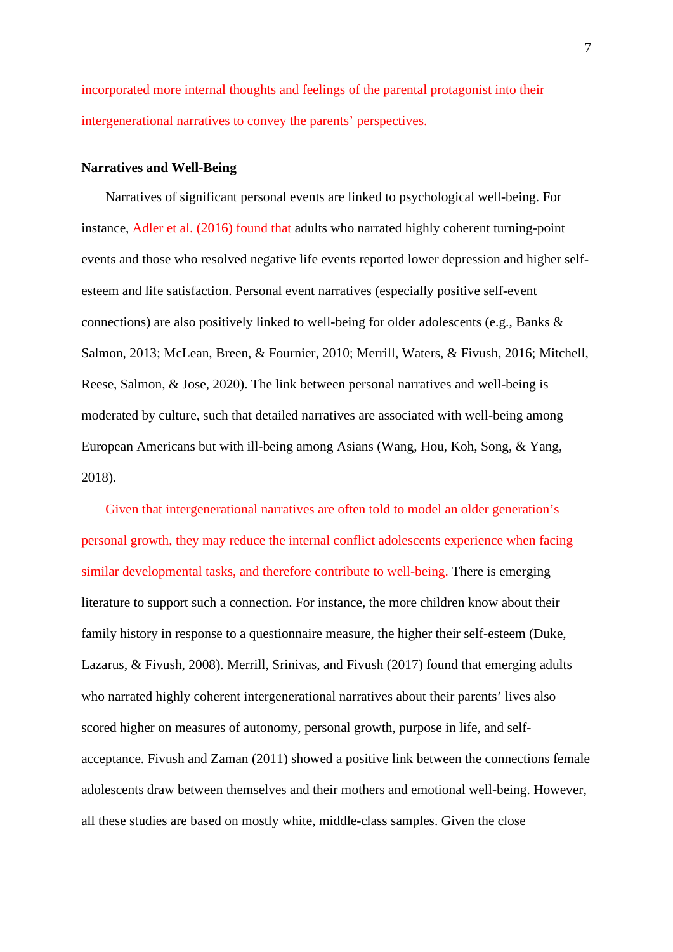incorporated more internal thoughts and feelings of the parental protagonist into their intergenerational narratives to convey the parents' perspectives.

#### **Narratives and Well-Being**

Narratives of significant personal events are linked to psychological well-being. For instance, Adler et al. (2016) found that adults who narrated highly coherent turning-point events and those who resolved negative life events reported lower depression and higher selfesteem and life satisfaction. Personal event narratives (especially positive self-event connections) are also positively linked to well-being for older adolescents (e.g., Banks & Salmon, 2013; McLean, Breen, & Fournier, 2010; Merrill, Waters, & Fivush, 2016; Mitchell, Reese, Salmon, & Jose, 2020). The link between personal narratives and well-being is moderated by culture, such that detailed narratives are associated with well-being among European Americans but with ill-being among Asians (Wang, Hou, Koh, Song, & Yang, 2018).

Given that intergenerational narratives are often told to model an older generation's personal growth, they may reduce the internal conflict adolescents experience when facing similar developmental tasks, and therefore contribute to well-being. There is emerging literature to support such a connection. For instance, the more children know about their family history in response to a questionnaire measure, the higher their self-esteem (Duke, Lazarus, & Fivush, 2008). Merrill, Srinivas, and Fivush (2017) found that emerging adults who narrated highly coherent intergenerational narratives about their parents' lives also scored higher on measures of autonomy, personal growth, purpose in life, and selfacceptance. Fivush and Zaman (2011) showed a positive link between the connections female adolescents draw between themselves and their mothers and emotional well-being. However, all these studies are based on mostly white, middle-class samples. Given the close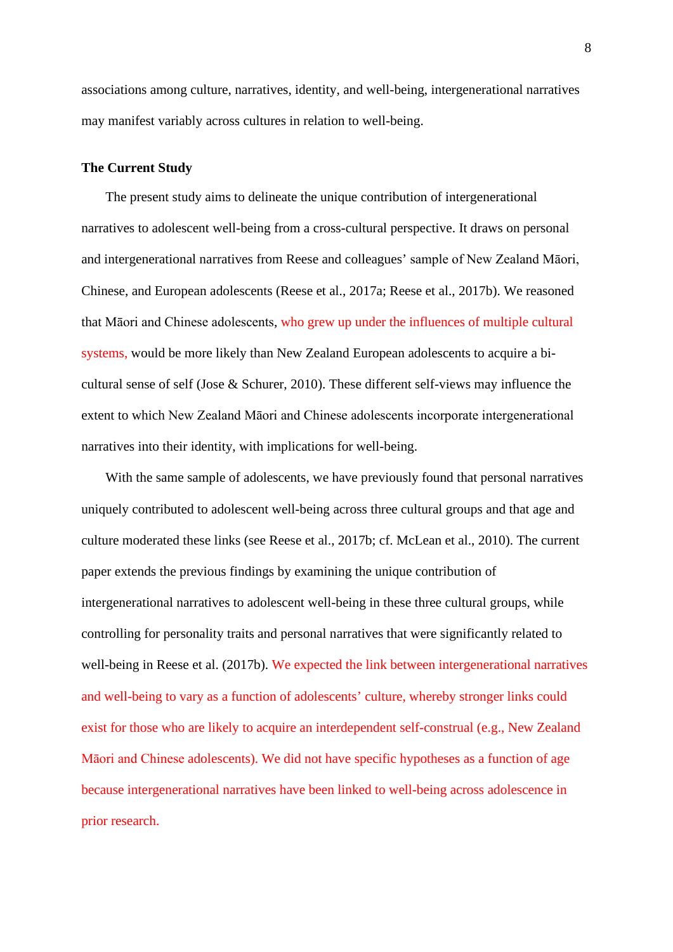associations among culture, narratives, identity, and well-being, intergenerational narratives may manifest variably across cultures in relation to well-being.

#### **The Current Study**

The present study aims to delineate the unique contribution of intergenerational narratives to adolescent well-being from a cross-cultural perspective. It draws on personal and intergenerational narratives from Reese and colleagues' sample of New Zealand Māori, Chinese, and European adolescents (Reese et al., 2017a; Reese et al., 2017b). We reasoned that Māori and Chinese adolescents, who grew up under the influences of multiple cultural systems, would be more likely than New Zealand European adolescents to acquire a bicultural sense of self (Jose & Schurer, 2010). These different self-views may influence the extent to which New Zealand Māori and Chinese adolescents incorporate intergenerational narratives into their identity, with implications for well-being.

With the same sample of adolescents, we have previously found that personal narratives uniquely contributed to adolescent well-being across three cultural groups and that age and culture moderated these links (see Reese et al., 2017b; cf. McLean et al., 2010). The current paper extends the previous findings by examining the unique contribution of intergenerational narratives to adolescent well-being in these three cultural groups, while controlling for personality traits and personal narratives that were significantly related to well-being in Reese et al. (2017b). We expected the link between intergenerational narratives and well-being to vary as a function of adolescents' culture, whereby stronger links could exist for those who are likely to acquire an interdependent self-construal (e.g., New Zealand Māori and Chinese adolescents). We did not have specific hypotheses as a function of age because intergenerational narratives have been linked to well-being across adolescence in prior research.

8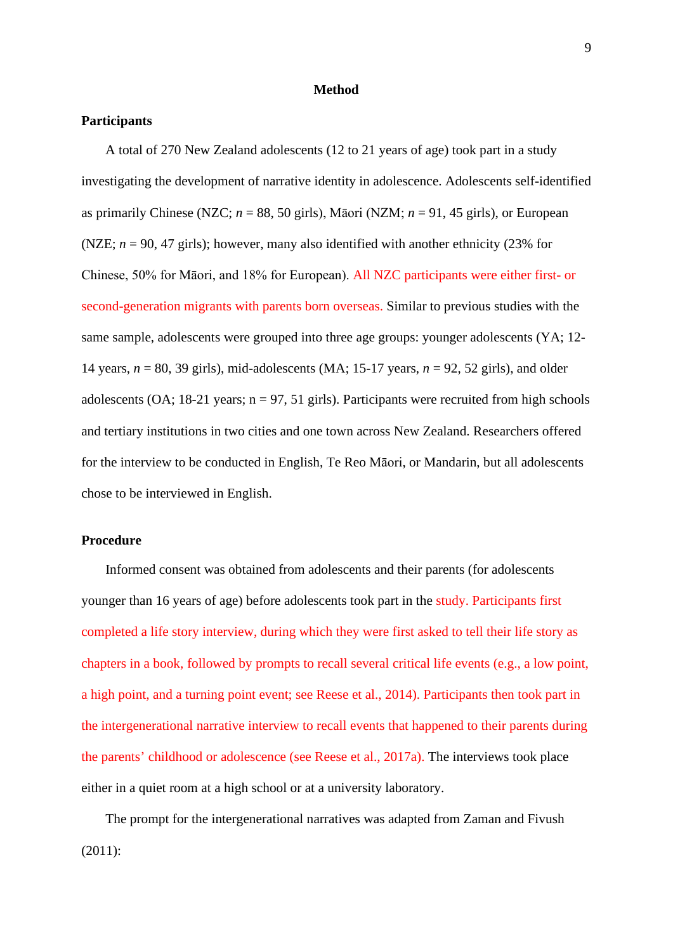#### **Method**

#### **Participants**

A total of 270 New Zealand adolescents (12 to 21 years of age) took part in a study investigating the development of narrative identity in adolescence. Adolescents self-identified as primarily Chinese (NZC;  $n = 88$ , 50 girls), Māori (NZM;  $n = 91$ , 45 girls), or European (NZE;  $n = 90$ , 47 girls); however, many also identified with another ethnicity (23% for Chinese, 50% for Māori, and 18% for European). All NZC participants were either first- or second-generation migrants with parents born overseas. Similar to previous studies with the same sample, adolescents were grouped into three age groups: younger adolescents (YA; 12- 14 years, *n* = 80, 39 girls), mid-adolescents (MA; 15-17 years, *n* = 92, 52 girls), and older adolescents (OA; 18-21 years;  $n = 97, 51$  girls). Participants were recruited from high schools and tertiary institutions in two cities and one town across New Zealand. Researchers offered for the interview to be conducted in English, Te Reo Māori, or Mandarin, but all adolescents chose to be interviewed in English.

#### **Procedure**

Informed consent was obtained from adolescents and their parents (for adolescents younger than 16 years of age) before adolescents took part in the study. Participants first completed a life story interview, during which they were first asked to tell their life story as chapters in a book, followed by prompts to recall several critical life events (e.g., a low point, a high point, and a turning point event; see Reese et al., 2014). Participants then took part in the intergenerational narrative interview to recall events that happened to their parents during the parents' childhood or adolescence (see Reese et al., 2017a). The interviews took place either in a quiet room at a high school or at a university laboratory.

The prompt for the intergenerational narratives was adapted from Zaman and Fivush (2011):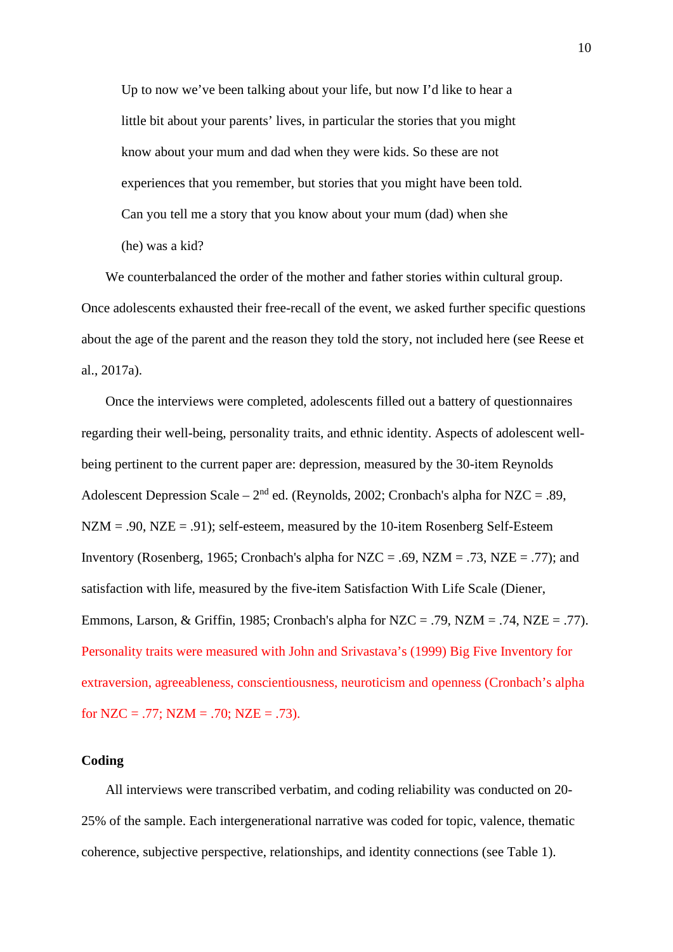Up to now we've been talking about your life, but now I'd like to hear a little bit about your parents' lives, in particular the stories that you might know about your mum and dad when they were kids. So these are not experiences that you remember, but stories that you might have been told. Can you tell me a story that you know about your mum (dad) when she (he) was a kid?

We counterbalanced the order of the mother and father stories within cultural group. Once adolescents exhausted their free-recall of the event, we asked further specific questions about the age of the parent and the reason they told the story, not included here (see Reese et al., 2017a).

Once the interviews were completed, adolescents filled out a battery of questionnaires regarding their well-being, personality traits, and ethnic identity. Aspects of adolescent wellbeing pertinent to the current paper are: depression, measured by the 30-item Reynolds Adolescent Depression Scale –  $2<sup>nd</sup>$  ed. (Reynolds, 2002; Cronbach's alpha for NZC = .89,  $NZM = .90$ ,  $NZE = .91$ ; self-esteem, measured by the 10-item Rosenberg Self-Esteem Inventory (Rosenberg, 1965; Cronbach's alpha for  $NZC = .69$ ,  $NZM = .73$ ,  $NZE = .77$ ); and satisfaction with life, measured by the five-item Satisfaction With Life Scale (Diener, Emmons, Larson, & Griffin, 1985; Cronbach's alpha for  $NZC = .79$ ,  $NZM = .74$ ,  $NZE = .77$ ). Personality traits were measured with John and Srivastava's (1999) Big Five Inventory for extraversion, agreeableness, conscientiousness, neuroticism and openness (Cronbach's alpha for NZC = .77; NZM = .70; NZE = .73).

#### **Coding**

All interviews were transcribed verbatim, and coding reliability was conducted on 20- 25% of the sample. Each intergenerational narrative was coded for topic, valence, thematic coherence, subjective perspective, relationships, and identity connections (see Table 1).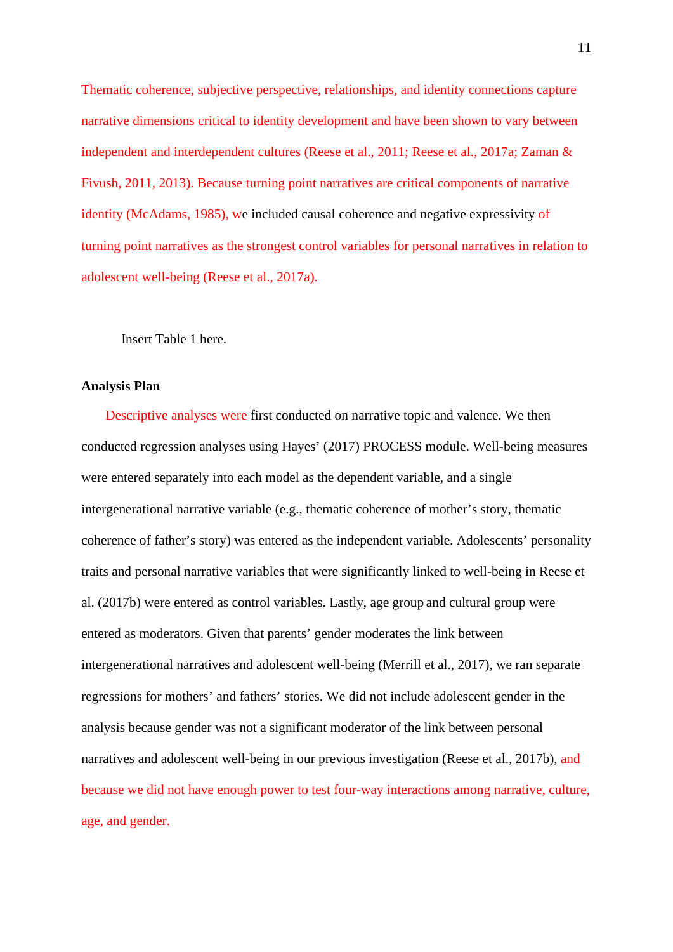Thematic coherence, subjective perspective, relationships, and identity connections capture narrative dimensions critical to identity development and have been shown to vary between independent and interdependent cultures (Reese et al., 2011; Reese et al., 2017a; Zaman & Fivush, 2011, 2013). Because turning point narratives are critical components of narrative identity (McAdams, 1985), we included causal coherence and negative expressivity of turning point narratives as the strongest control variables for personal narratives in relation to adolescent well-being (Reese et al., 2017a).

Insert Table 1 here.

#### **Analysis Plan**

Descriptive analyses were first conducted on narrative topic and valence. We then conducted regression analyses using Hayes' (2017) PROCESS module. Well-being measures were entered separately into each model as the dependent variable, and a single intergenerational narrative variable (e.g., thematic coherence of mother's story, thematic coherence of father's story) was entered as the independent variable. Adolescents' personality traits and personal narrative variables that were significantly linked to well-being in Reese et al. (2017b) were entered as control variables. Lastly, age group and cultural group were entered as moderators. Given that parents' gender moderates the link between intergenerational narratives and adolescent well-being (Merrill et al., 2017), we ran separate regressions for mothers' and fathers' stories. We did not include adolescent gender in the analysis because gender was not a significant moderator of the link between personal narratives and adolescent well-being in our previous investigation (Reese et al., 2017b), and because we did not have enough power to test four-way interactions among narrative, culture, age, and gender.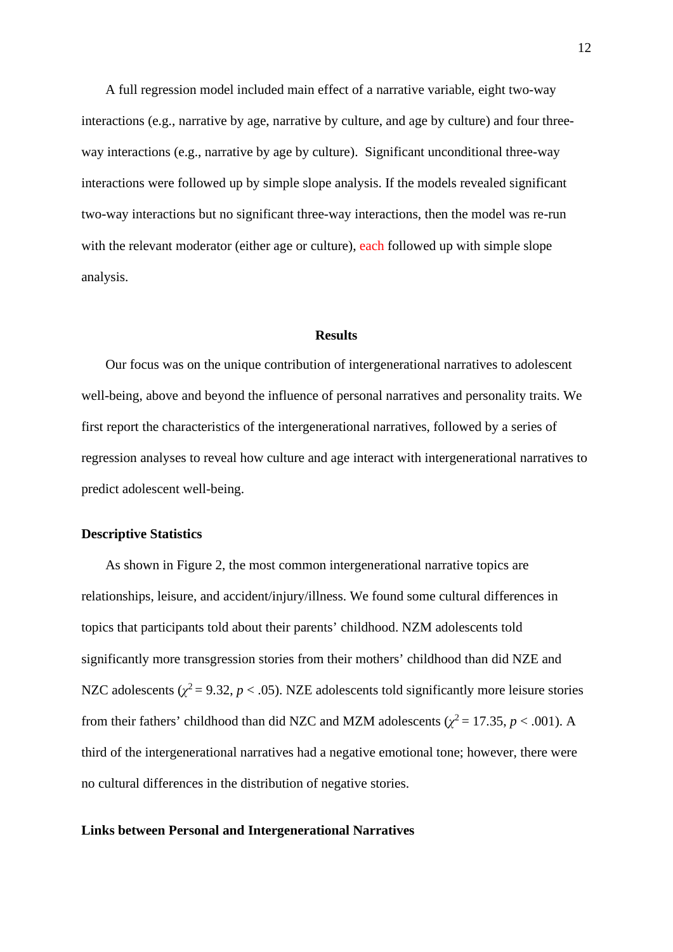A full regression model included main effect of a narrative variable, eight two-way interactions (e.g., narrative by age, narrative by culture, and age by culture) and four threeway interactions (e.g., narrative by age by culture). Significant unconditional three-way interactions were followed up by simple slope analysis. If the models revealed significant two-way interactions but no significant three-way interactions, then the model was re-run with the relevant moderator (either age or culture), each followed up with simple slope analysis.

#### **Results**

Our focus was on the unique contribution of intergenerational narratives to adolescent well-being, above and beyond the influence of personal narratives and personality traits. We first report the characteristics of the intergenerational narratives, followed by a series of regression analyses to reveal how culture and age interact with intergenerational narratives to predict adolescent well-being.

#### **Descriptive Statistics**

As shown in Figure 2, the most common intergenerational narrative topics are relationships, leisure, and accident/injury/illness. We found some cultural differences in topics that participants told about their parents' childhood. NZM adolescents told significantly more transgression stories from their mothers' childhood than did NZE and NZC adolescents ( $\chi^2$  = 9.32, *p* < .05). NZE adolescents told significantly more leisure stories from their fathers' childhood than did NZC and MZM adolescents ( $\chi^2$  = 17.35, *p* < .001). A third of the intergenerational narratives had a negative emotional tone; however, there were no cultural differences in the distribution of negative stories.

#### **Links between Personal and Intergenerational Narratives**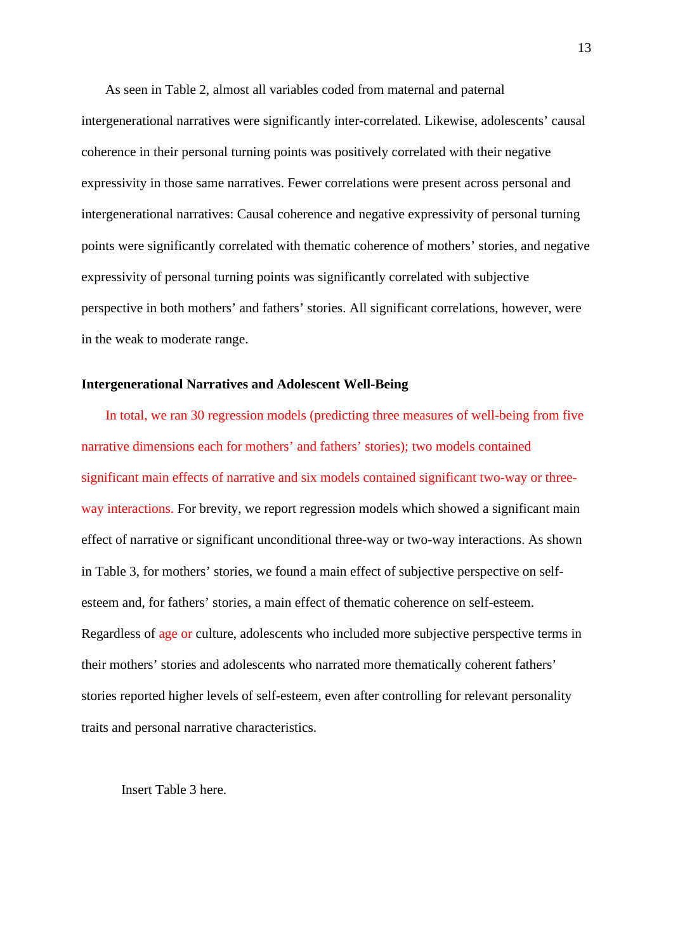As seen in Table 2, almost all variables coded from maternal and paternal intergenerational narratives were significantly inter-correlated. Likewise, adolescents' causal coherence in their personal turning points was positively correlated with their negative expressivity in those same narratives. Fewer correlations were present across personal and intergenerational narratives: Causal coherence and negative expressivity of personal turning points were significantly correlated with thematic coherence of mothers' stories, and negative expressivity of personal turning points was significantly correlated with subjective perspective in both mothers' and fathers' stories. All significant correlations, however, were in the weak to moderate range.

#### **Intergenerational Narratives and Adolescent Well-Being**

In total, we ran 30 regression models (predicting three measures of well-being from five narrative dimensions each for mothers' and fathers' stories); two models contained significant main effects of narrative and six models contained significant two-way or threeway interactions. For brevity, we report regression models which showed a significant main effect of narrative or significant unconditional three-way or two-way interactions. As shown in Table 3, for mothers' stories, we found a main effect of subjective perspective on selfesteem and, for fathers' stories, a main effect of thematic coherence on self-esteem. Regardless of age or culture, adolescents who included more subjective perspective terms in their mothers' stories and adolescents who narrated more thematically coherent fathers' stories reported higher levels of self-esteem, even after controlling for relevant personality traits and personal narrative characteristics.

Insert Table 3 here.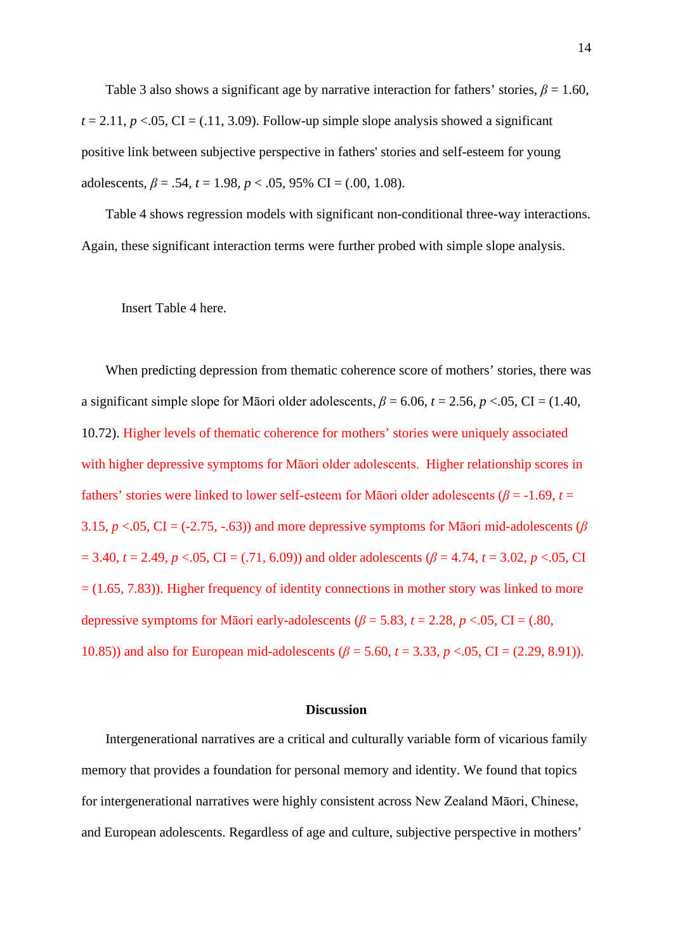Table 3 also shows a significant age by narrative interaction for fathers' stories,  $\beta = 1.60$ ,  $t = 2.11$ ,  $p < 0.05$ , CI = (.11, 3.09). Follow-up simple slope analysis showed a significant positive link between subjective perspective in fathers' stories and self-esteem for young adolescents,  $\beta = .54$ ,  $t = 1.98$ ,  $p < .05$ , 95% CI = (.00, 1.08).

Table 4 shows regression models with significant non-conditional three-way interactions. Again, these significant interaction terms were further probed with simple slope analysis.

Insert Table 4 here.

When predicting depression from thematic coherence score of mothers' stories, there was a significant simple slope for Māori older adolescents,  $\beta$  = 6.06,  $t$  = 2.56,  $p$  <.05, CI = (1.40, 10.72). Higher levels of thematic coherence for mothers' stories were uniquely associated with higher depressive symptoms for Māori older adolescents. Higher relationship scores in fathers' stories were linked to lower self-esteem for Māori older adolescents ( $\beta$  = -1.69, *t* = 3.15, *p* <.05, CI = (-2.75, -.63)) and more depressive symptoms for Māori mid-adolescents (*β*  $= 3.40, t = 2.49, p < .05, \text{ CI} = (.71, 6.09)$  and older adolescents ( $\beta = 4.74, t = 3.02, p < .05, \text{CI} = .05$  $= (1.65, 7.83)$ . Higher frequency of identity connections in mother story was linked to more depressive symptoms for Māori early-adolescents ( $\beta$  = 5.83,  $t$  = 2.28,  $p$  <.05, CI = (.80, 10.85)) and also for European mid-adolescents (*β* = 5.60, *t* = 3.33, *p* <.05, CI = (2.29, 8.91)).

#### **Discussion**

Intergenerational narratives are a critical and culturally variable form of vicarious family memory that provides a foundation for personal memory and identity. We found that topics for intergenerational narratives were highly consistent across New Zealand Māori, Chinese, and European adolescents. Regardless of age and culture, subjective perspective in mothers'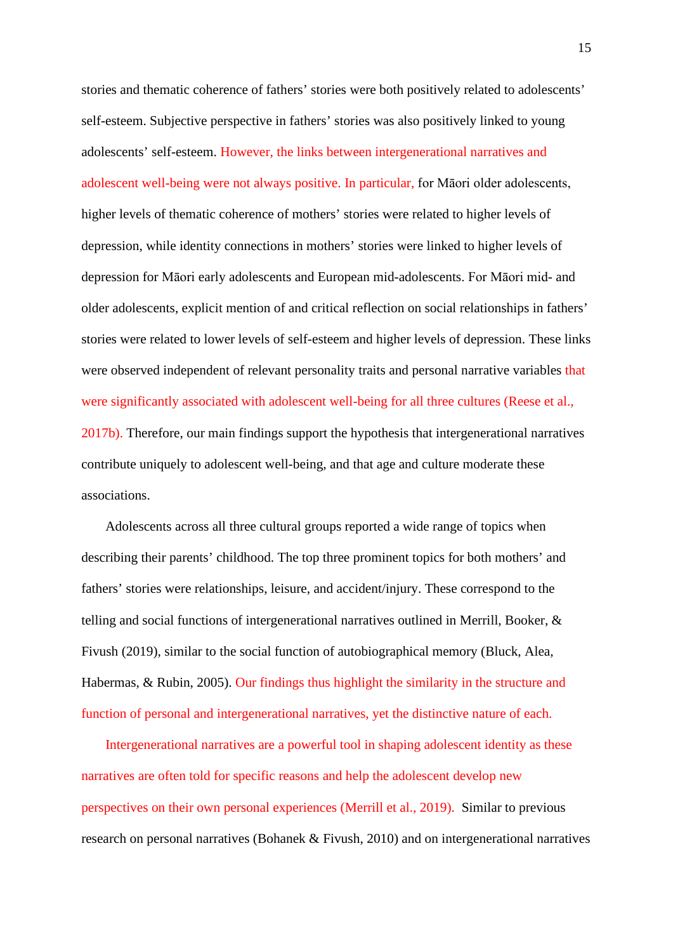stories and thematic coherence of fathers' stories were both positively related to adolescents' self-esteem. Subjective perspective in fathers' stories was also positively linked to young adolescents' self-esteem. However, the links between intergenerational narratives and adolescent well-being were not always positive. In particular, for Māori older adolescents, higher levels of thematic coherence of mothers' stories were related to higher levels of depression, while identity connections in mothers' stories were linked to higher levels of depression for Māori early adolescents and European mid-adolescents. For Māori mid- and older adolescents, explicit mention of and critical reflection on social relationships in fathers' stories were related to lower levels of self-esteem and higher levels of depression. These links were observed independent of relevant personality traits and personal narrative variables that were significantly associated with adolescent well-being for all three cultures (Reese et al., 2017b). Therefore, our main findings support the hypothesis that intergenerational narratives contribute uniquely to adolescent well-being, and that age and culture moderate these associations.

Adolescents across all three cultural groups reported a wide range of topics when describing their parents' childhood. The top three prominent topics for both mothers' and fathers' stories were relationships, leisure, and accident/injury. These correspond to the telling and social functions of intergenerational narratives outlined in Merrill, Booker, & Fivush (2019), similar to the social function of autobiographical memory (Bluck, Alea, Habermas, & Rubin, 2005). Our findings thus highlight the similarity in the structure and function of personal and intergenerational narratives, yet the distinctive nature of each.

Intergenerational narratives are a powerful tool in shaping adolescent identity as these narratives are often told for specific reasons and help the adolescent develop new perspectives on their own personal experiences (Merrill et al., 2019). Similar to previous research on personal narratives (Bohanek & Fivush, 2010) and on intergenerational narratives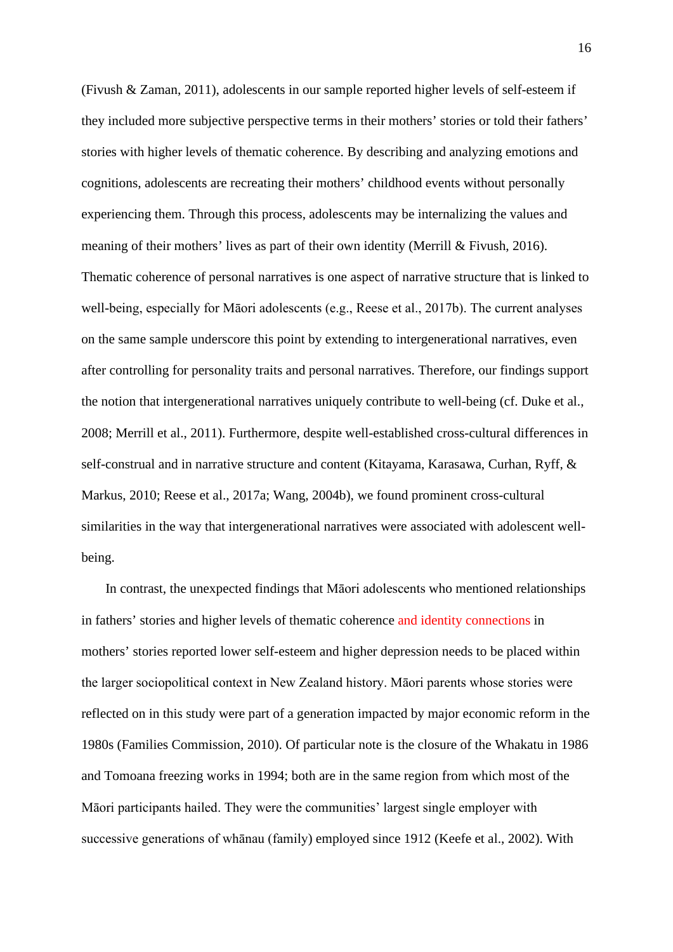(Fivush & Zaman, 2011), adolescents in our sample reported higher levels of self-esteem if they included more subjective perspective terms in their mothers' stories or told their fathers' stories with higher levels of thematic coherence. By describing and analyzing emotions and cognitions, adolescents are recreating their mothers' childhood events without personally experiencing them. Through this process, adolescents may be internalizing the values and meaning of their mothers' lives as part of their own identity (Merrill & Fivush, 2016). Thematic coherence of personal narratives is one aspect of narrative structure that is linked to well-being, especially for Māori adolescents (e.g., Reese et al., 2017b). The current analyses on the same sample underscore this point by extending to intergenerational narratives, even after controlling for personality traits and personal narratives. Therefore, our findings support the notion that intergenerational narratives uniquely contribute to well-being (cf. Duke et al., 2008; Merrill et al., 2011). Furthermore, despite well-established cross-cultural differences in self-construal and in narrative structure and content (Kitayama, Karasawa, Curhan, Ryff, & Markus, 2010; Reese et al., 2017a; Wang, 2004b), we found prominent cross-cultural similarities in the way that intergenerational narratives were associated with adolescent wellbeing.

In contrast, the unexpected findings that Māori adolescents who mentioned relationships in fathers' stories and higher levels of thematic coherence and identity connections in mothers' stories reported lower self-esteem and higher depression needs to be placed within the larger sociopolitical context in New Zealand history. Māori parents whose stories were reflected on in this study were part of a generation impacted by major economic reform in the 1980s (Families Commission, 2010). Of particular note is the closure of the Whakatu in 1986 and Tomoana freezing works in 1994; both are in the same region from which most of the Māori participants hailed. They were the communities' largest single employer with successive generations of whānau (family) employed since 1912 (Keefe et al., 2002). With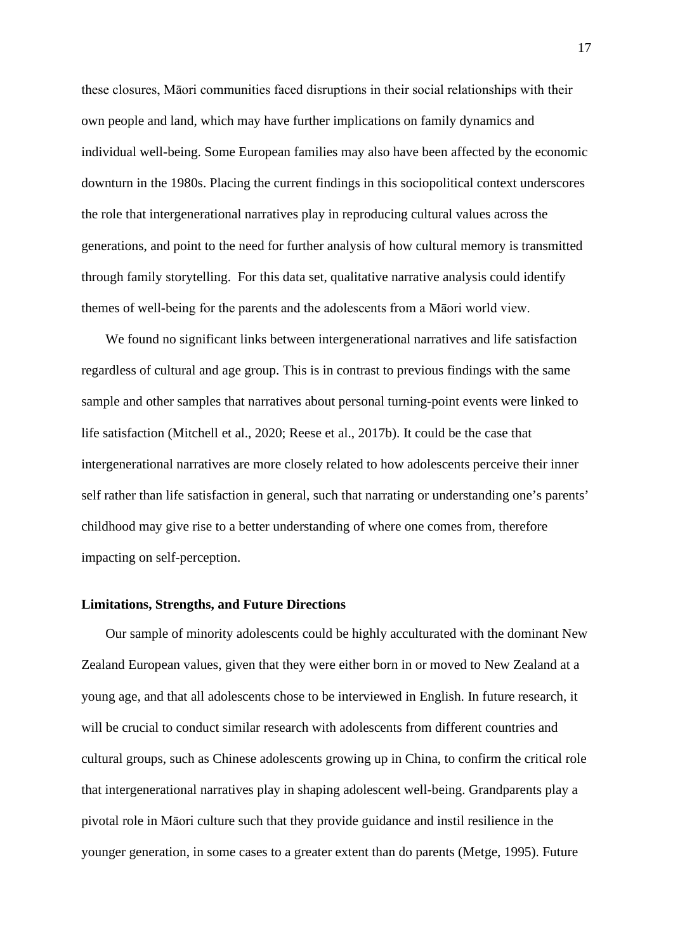these closures, Māori communities faced disruptions in their social relationships with their own people and land, which may have further implications on family dynamics and individual well-being. Some European families may also have been affected by the economic downturn in the 1980s. Placing the current findings in this sociopolitical context underscores the role that intergenerational narratives play in reproducing cultural values across the generations, and point to the need for further analysis of how cultural memory is transmitted through family storytelling. For this data set, qualitative narrative analysis could identify themes of well-being for the parents and the adolescents from a Māori world view.

We found no significant links between intergenerational narratives and life satisfaction regardless of cultural and age group. This is in contrast to previous findings with the same sample and other samples that narratives about personal turning-point events were linked to life satisfaction (Mitchell et al., 2020; Reese et al., 2017b). It could be the case that intergenerational narratives are more closely related to how adolescents perceive their inner self rather than life satisfaction in general, such that narrating or understanding one's parents' childhood may give rise to a better understanding of where one comes from, therefore impacting on self-perception.

#### **Limitations, Strengths, and Future Directions**

Our sample of minority adolescents could be highly acculturated with the dominant New Zealand European values, given that they were either born in or moved to New Zealand at a young age, and that all adolescents chose to be interviewed in English. In future research, it will be crucial to conduct similar research with adolescents from different countries and cultural groups, such as Chinese adolescents growing up in China, to confirm the critical role that intergenerational narratives play in shaping adolescent well-being. Grandparents play a pivotal role in Māori culture such that they provide guidance and instil resilience in the younger generation, in some cases to a greater extent than do parents (Metge, 1995). Future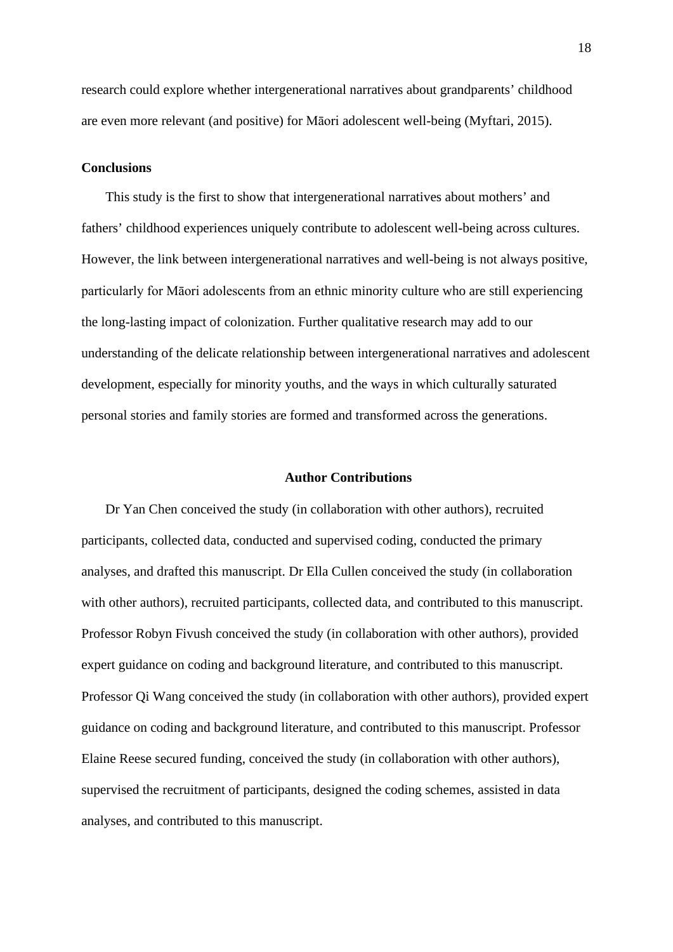research could explore whether intergenerational narratives about grandparents' childhood are even more relevant (and positive) for Māori adolescent well-being (Myftari, 2015).

#### **Conclusions**

This study is the first to show that intergenerational narratives about mothers' and fathers' childhood experiences uniquely contribute to adolescent well-being across cultures. However, the link between intergenerational narratives and well-being is not always positive, particularly for Māori adolescents from an ethnic minority culture who are still experiencing the long-lasting impact of colonization. Further qualitative research may add to our understanding of the delicate relationship between intergenerational narratives and adolescent development, especially for minority youths, and the ways in which culturally saturated personal stories and family stories are formed and transformed across the generations.

#### **Author Contributions**

Dr Yan Chen conceived the study (in collaboration with other authors), recruited participants, collected data, conducted and supervised coding, conducted the primary analyses, and drafted this manuscript. Dr Ella Cullen conceived the study (in collaboration with other authors), recruited participants, collected data, and contributed to this manuscript. Professor Robyn Fivush conceived the study (in collaboration with other authors), provided expert guidance on coding and background literature, and contributed to this manuscript. Professor Qi Wang conceived the study (in collaboration with other authors), provided expert guidance on coding and background literature, and contributed to this manuscript. Professor Elaine Reese secured funding, conceived the study (in collaboration with other authors), supervised the recruitment of participants, designed the coding schemes, assisted in data analyses, and contributed to this manuscript.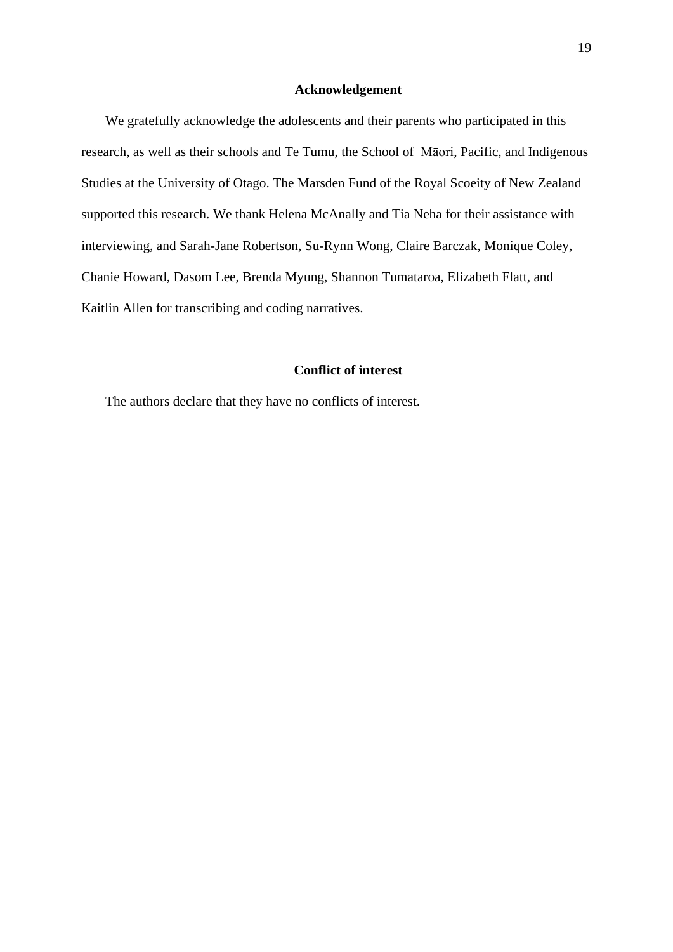#### **Acknowledgement**

We gratefully acknowledge the adolescents and their parents who participated in this research, as well as their schools and Te Tumu, the School of Māori, Pacific, and Indigenous Studies at the University of Otago. The Marsden Fund of the Royal Scoeity of New Zealand supported this research. We thank Helena McAnally and Tia Neha for their assistance with interviewing, and Sarah-Jane Robertson, Su-Rynn Wong, Claire Barczak, Monique Coley, Chanie Howard, Dasom Lee, Brenda Myung, Shannon Tumataroa, Elizabeth Flatt, and Kaitlin Allen for transcribing and coding narratives.

### **Conflict of interest**

The authors declare that they have no conflicts of interest.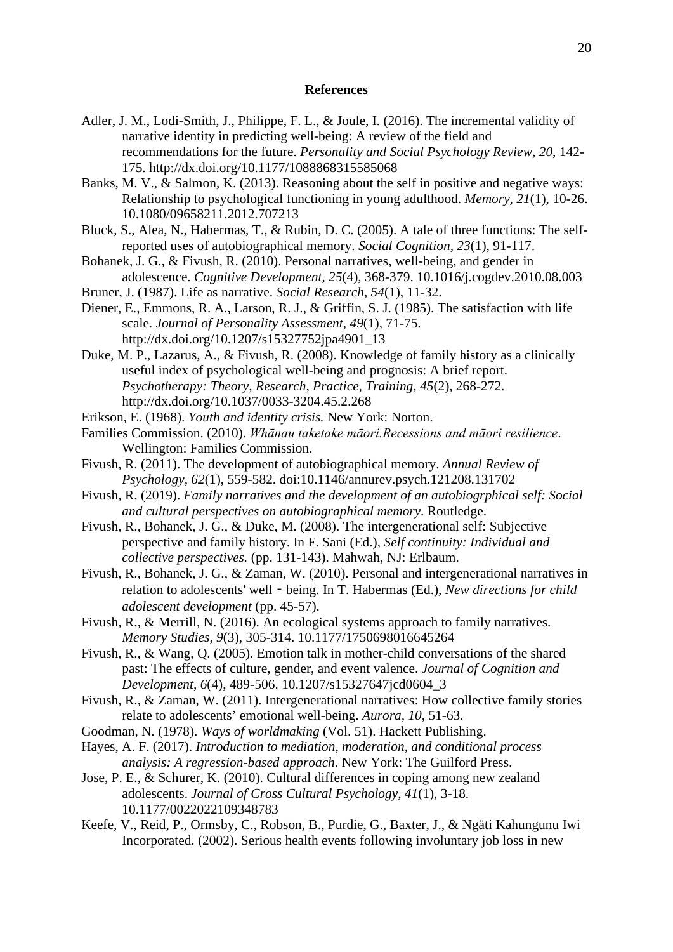#### **References**

- Adler, J. M., Lodi-Smith, J., Philippe, F. L., & Joule, I. (2016). The incremental validity of narrative identity in predicting well-being: A review of the field and recommendations for the future. *Personality and Social Psychology Review, 20*, 142- 175. http://dx.doi.org/10.1177/1088868315585068
- Banks, M. V., & Salmon, K. (2013). Reasoning about the self in positive and negative ways: Relationship to psychological functioning in young adulthood. *Memory, 21*(1), 10-26. 10.1080/09658211.2012.707213
- Bluck, S., Alea, N., Habermas, T., & Rubin, D. C. (2005). A tale of three functions: The selfreported uses of autobiographical memory. *Social Cognition, 23*(1), 91-117.
- Bohanek, J. G., & Fivush, R. (2010). Personal narratives, well-being, and gender in adolescence. *Cognitive Development, 25*(4), 368-379. 10.1016/j.cogdev.2010.08.003
- Bruner, J. (1987). Life as narrative. *Social Research*, *54*(1), 11-32.
- Diener, E., Emmons, R. A., Larson, R. J., & Griffin, S. J. (1985). The satisfaction with life scale. *Journal of Personality Assessment, 49*(1), 71-75. http://dx.doi.org/10.1207/s15327752jpa4901\_13
- Duke, M. P., Lazarus, A., & Fivush, R. (2008). Knowledge of family history as a clinically useful index of psychological well-being and prognosis: A brief report. *Psychotherapy: Theory, Research, Practice, Training, 45*(2), 268-272. http://dx.doi.org/10.1037/0033-3204.45.2.268
- Erikson, E. (1968). *Youth and identity crisis.* New York: Norton.
- Families Commission. (2010). *Whānau taketake māori.Recessions and māori resilience*. Wellington: Families Commission.
- Fivush, R. (2011). The development of autobiographical memory. *Annual Review of Psychology, 62*(1), 559-582. doi:10.1146/annurev.psych.121208.131702
- Fivush, R. (2019). *Family narratives and the development of an autobiogrphical self: Social and cultural perspectives on autobiographical memory*. Routledge.
- Fivush, R., Bohanek, J. G., & Duke, M. (2008). The intergenerational self: Subjective perspective and family history. In F. Sani (Ed.), *Self continuity: Individual and collective perspectives.* (pp. 131-143). Mahwah, NJ: Erlbaum.
- Fivush, R., Bohanek, J. G., & Zaman, W. (2010). Personal and intergenerational narratives in relation to adolescents' well - being. In T. Habermas (Ed.), *New directions for child adolescent development* (pp. 45-57).
- Fivush, R., & Merrill, N. (2016). An ecological systems approach to family narratives. *Memory Studies, 9*(3), 305-314. 10.1177/1750698016645264
- Fivush, R., & Wang, Q. (2005). Emotion talk in mother-child conversations of the shared past: The effects of culture, gender, and event valence. *Journal of Cognition and Development, 6*(4), 489-506. 10.1207/s15327647jcd0604\_3
- Fivush, R., & Zaman, W. (2011). Intergenerational narratives: How collective family stories relate to adolescents' emotional well-being. *Aurora, 10*, 51-63.
- Goodman, N. (1978). *Ways of worldmaking* (Vol. 51). Hackett Publishing.
- Hayes, A. F. (2017). *Introduction to mediation, moderation, and conditional process analysis: A regression-based approach*. New York: The Guilford Press.
- Jose, P. E., & Schurer, K. (2010). Cultural differences in coping among new zealand adolescents. *Journal of Cross Cultural Psychology, 41*(1), 3-18. 10.1177/0022022109348783
- Keefe, V., Reid, P., Ormsby, C., Robson, B., Purdie, G., Baxter, J., & Ngäti Kahungunu Iwi Incorporated. (2002). Serious health events following involuntary job loss in new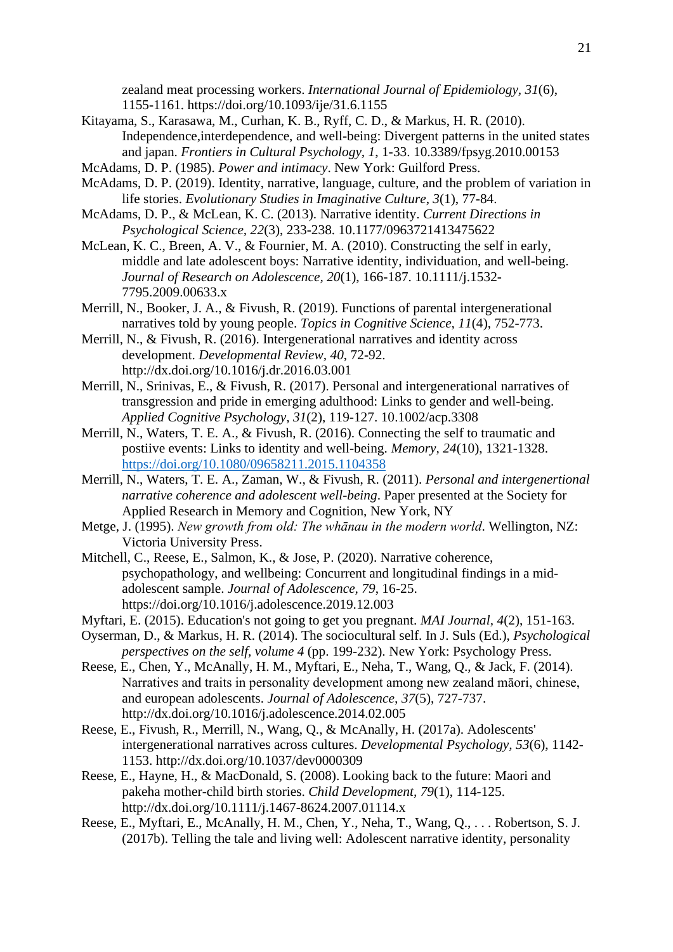zealand meat processing workers. *International Journal of Epidemiology, 31*(6), 1155-1161. https://doi.org/10.1093/ije/31.6.1155

- Kitayama, S., Karasawa, M., Curhan, K. B., Ryff, C. D., & Markus, H. R. (2010). Independence,interdependence, and well-being: Divergent patterns in the united states and japan. *Frontiers in Cultural Psychology, 1*, 1-33. 10.3389/fpsyg.2010.00153
- McAdams, D. P. (1985). *Power and intimacy*. New York: Guilford Press.
- McAdams, D. P. (2019). Identity, narrative, language, culture, and the problem of variation in life stories. *Evolutionary Studies in Imaginative Culture*, *3*(1), 77-84.
- McAdams, D. P., & McLean, K. C. (2013). Narrative identity. *Current Directions in Psychological Science, 22*(3), 233-238. 10.1177/0963721413475622
- McLean, K. C., Breen, A. V., & Fournier, M. A. (2010). Constructing the self in early, middle and late adolescent boys: Narrative identity, individuation, and well-being. *Journal of Research on Adolescence, 20*(1), 166-187. 10.1111/j.1532- 7795.2009.00633.x
- Merrill, N., Booker, J. A., & Fivush, R. (2019). Functions of parental intergenerational narratives told by young people. *Topics in Cognitive Science, 11*(4), 752-773.
- Merrill, N., & Fivush, R. (2016). Intergenerational narratives and identity across development. *Developmental Review, 40*, 72-92. http://dx.doi.org/10.1016/j.dr.2016.03.001
- Merrill, N., Srinivas, E., & Fivush, R. (2017). Personal and intergenerational narratives of transgression and pride in emerging adulthood: Links to gender and well-being. *Applied Cognitive Psychology, 31*(2), 119-127. 10.1002/acp.3308
- Merrill, N., Waters, T. E. A., & Fivush, R. (2016). Connecting the self to traumatic and postiive events: Links to identity and well-being. *Memory, 24*(10), 1321-1328. <https://doi.org/10.1080/09658211.2015.1104358>
- Merrill, N., Waters, T. E. A., Zaman, W., & Fivush, R. (2011). *Personal and intergenertional narrative coherence and adolescent well-being*. Paper presented at the Society for Applied Research in Memory and Cognition, New York, NY
- Metge, J. (1995). *New growth from old: The whānau in the modern world*. Wellington, NZ: Victoria University Press.
- Mitchell, C., Reese, E., Salmon, K., & Jose, P. (2020). Narrative coherence, psychopathology, and wellbeing: Concurrent and longitudinal findings in a midadolescent sample. *Journal of Adolescence, 79*, 16-25. https://doi.org/10.1016/j.adolescence.2019.12.003
- Myftari, E. (2015). Education's not going to get you pregnant. *MAI Journal, 4*(2), 151-163.
- Oyserman, D., & Markus, H. R. (2014). The sociocultural self. In J. Suls (Ed.), *Psychological perspectives on the self, volume 4* (pp. 199-232). New York: Psychology Press.
- Reese, E., Chen, Y., McAnally, H. M., Myftari, E., Neha, T., Wang, Q., & Jack, F. (2014). Narratives and traits in personality development among new zealand māori, chinese, and european adolescents. *Journal of Adolescence, 37*(5), 727-737. http://dx.doi.org/10.1016/j.adolescence.2014.02.005
- Reese, E., Fivush, R., Merrill, N., Wang, Q., & McAnally, H. (2017a). Adolescents' intergenerational narratives across cultures. *Developmental Psychology, 53*(6), 1142- 1153. http://dx.doi.org/10.1037/dev0000309
- Reese, E., Hayne, H., & MacDonald, S. (2008). Looking back to the future: Maori and pakeha mother-child birth stories. *Child Development, 79*(1), 114-125. http://dx.doi.org/10.1111/j.1467-8624.2007.01114.x
- Reese, E., Myftari, E., McAnally, H. M., Chen, Y., Neha, T., Wang, Q., . . . Robertson, S. J. (2017b). Telling the tale and living well: Adolescent narrative identity, personality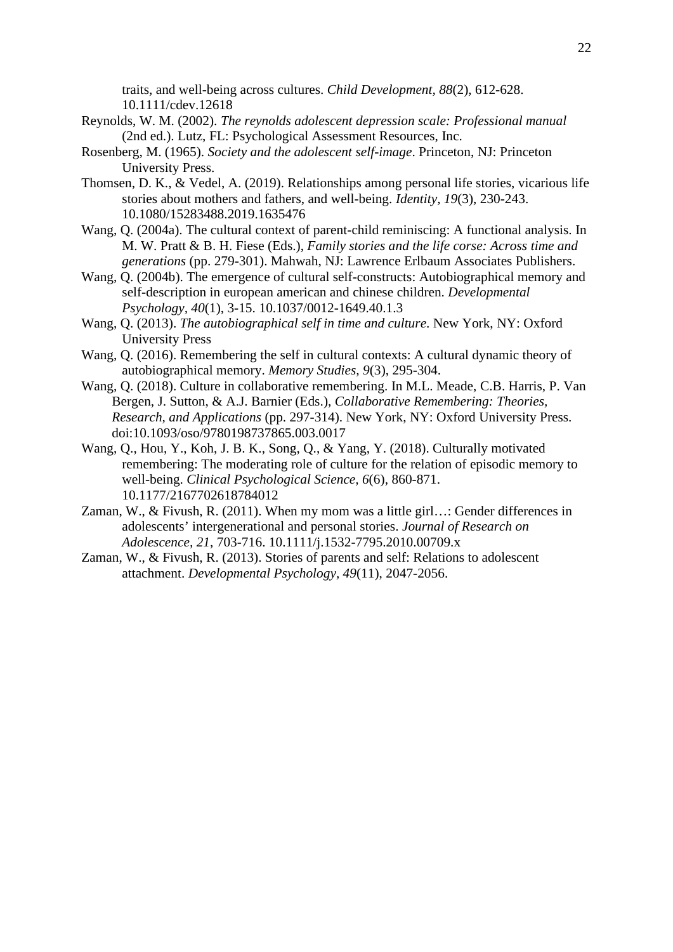traits, and well-being across cultures. *Child Development, 88*(2), 612-628. 10.1111/cdev.12618

- Reynolds, W. M. (2002). *The reynolds adolescent depression scale: Professional manual* (2nd ed.). Lutz, FL: Psychological Assessment Resources, Inc.
- Rosenberg, M. (1965). *Society and the adolescent self-image*. Princeton, NJ: Princeton University Press.
- Thomsen, D. K., & Vedel, A. (2019). Relationships among personal life stories, vicarious life stories about mothers and fathers, and well-being. *Identity, 19*(3), 230-243. 10.1080/15283488.2019.1635476
- Wang, Q. (2004a). The cultural context of parent-child reminiscing: A functional analysis. In M. W. Pratt & B. H. Fiese (Eds.), *Family stories and the life corse: Across time and generations* (pp. 279-301). Mahwah, NJ: Lawrence Erlbaum Associates Publishers.
- Wang, Q. (2004b). The emergence of cultural self-constructs: Autobiographical memory and self-description in european american and chinese children. *Developmental Psychology, 40*(1), 3-15. 10.1037/0012-1649.40.1.3
- Wang, Q. (2013). *The autobiographical self in time and culture*. New York, NY: Oxford University Press
- Wang, Q. (2016). Remembering the self in cultural contexts: A cultural dynamic theory of autobiographical memory. *Memory Studies, 9*(3), 295-304.
- Wang, Q. (2018). Culture in collaborative remembering. In M.L. Meade, C.B. Harris, P. Van Bergen, J. Sutton, & A.J. Barnier (Eds.), *Collaborative Remembering: Theories, Research, and Applications* (pp. 297-314). New York, NY: Oxford University Press. doi:10.1093/oso/9780198737865.003.0017
- Wang, Q., Hou, Y., Koh, J. B. K., Song, Q., & Yang, Y. (2018). Culturally motivated remembering: The moderating role of culture for the relation of episodic memory to well-being. *Clinical Psychological Science, 6*(6), 860-871. 10.1177/2167702618784012
- Zaman, W., & Fivush, R. (2011). When my mom was a little girl…: Gender differences in adolescents' intergenerational and personal stories. *Journal of Research on Adolescence, 21*, 703-716. 10.1111/j.1532-7795.2010.00709.x
- Zaman, W., & Fivush, R. (2013). Stories of parents and self: Relations to adolescent attachment. *Developmental Psychology, 49*(11), 2047-2056.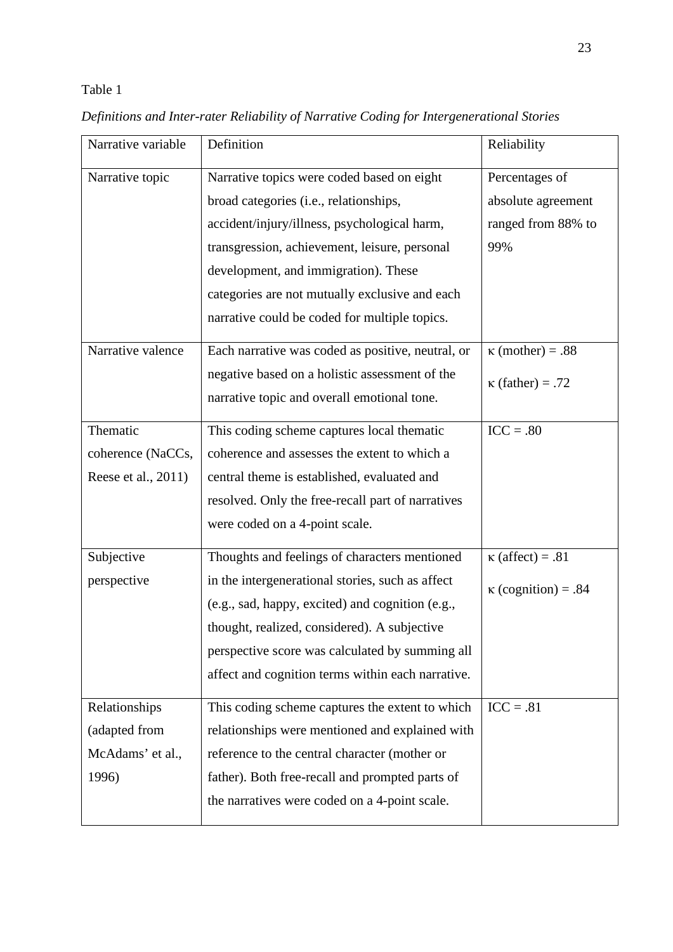# Table 1

| Narrative variable  | Definition                                        | Reliability                |
|---------------------|---------------------------------------------------|----------------------------|
| Narrative topic     | Narrative topics were coded based on eight        | Percentages of             |
|                     | broad categories (i.e., relationships,            | absolute agreement         |
|                     | accident/injury/illness, psychological harm,      | ranged from 88% to         |
|                     | transgression, achievement, leisure, personal     | 99%                        |
|                     | development, and immigration). These              |                            |
|                     | categories are not mutually exclusive and each    |                            |
|                     | narrative could be coded for multiple topics.     |                            |
| Narrative valence   | Each narrative was coded as positive, neutral, or | $\kappa$ (mother) = .88    |
|                     | negative based on a holistic assessment of the    | $\kappa$ (father) = .72    |
|                     | narrative topic and overall emotional tone.       |                            |
| Thematic            | This coding scheme captures local thematic        | $ICC=.80$                  |
| coherence (NaCCs,   | coherence and assesses the extent to which a      |                            |
| Reese et al., 2011) | central theme is established, evaluated and       |                            |
|                     | resolved. Only the free-recall part of narratives |                            |
|                     | were coded on a 4-point scale.                    |                            |
| Subjective          | Thoughts and feelings of characters mentioned     | $\kappa$ (affect) = .81    |
| perspective         | in the intergenerational stories, such as affect  | $\kappa$ (cognition) = .84 |
|                     | (e.g., sad, happy, excited) and cognition (e.g.,  |                            |
|                     | thought, realized, considered). A subjective      |                            |
|                     | perspective score was calculated by summing all   |                            |
|                     | affect and cognition terms within each narrative. |                            |
| Relationships       | This coding scheme captures the extent to which   | $ICC=.81$                  |
| (adapted from       | relationships were mentioned and explained with   |                            |
| McAdams' et al.,    | reference to the central character (mother or     |                            |
| 1996)               | father). Both free-recall and prompted parts of   |                            |
|                     | the narratives were coded on a 4-point scale.     |                            |

# *Definitions and Inter-rater Reliability of Narrative Coding for Intergenerational Stories*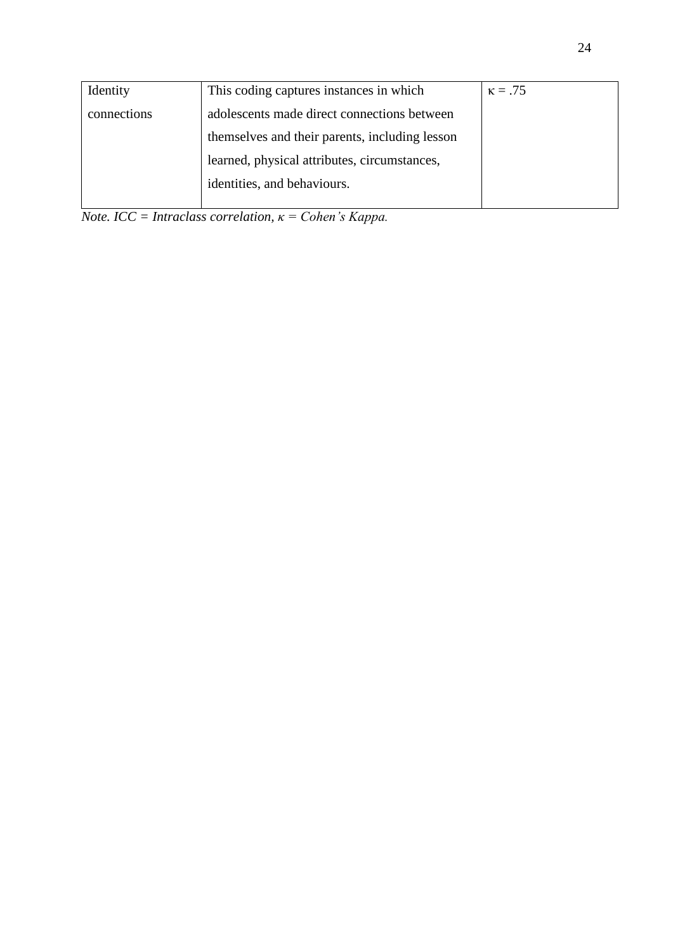| Identity    | This coding captures instances in which        | $\kappa = .75$ |
|-------------|------------------------------------------------|----------------|
| connections | adolescents made direct connections between    |                |
|             | themselves and their parents, including lesson |                |
|             | learned, physical attributes, circumstances,   |                |
|             | identities, and behaviours.                    |                |
|             |                                                |                |

*Note. ICC = Intraclass correlation, κ = Cohen's Kappa.*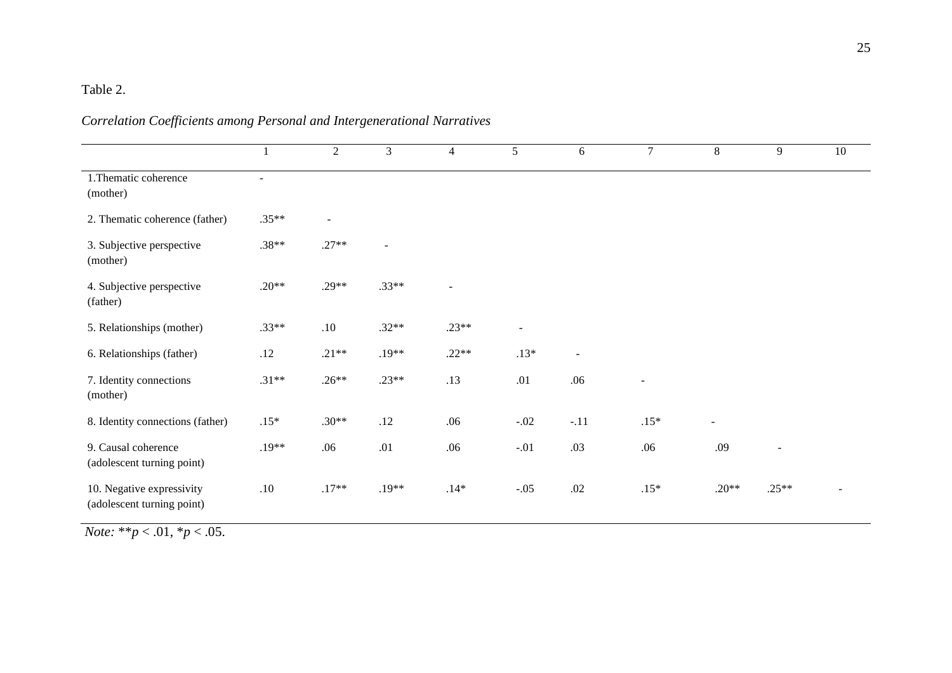# Table 2.

| Correlation Coefficients among Personal and Intergenerational Narratives |  |
|--------------------------------------------------------------------------|--|
|--------------------------------------------------------------------------|--|

|                                                         | $\overline{1}$ | $\overline{2}$           | $\mathfrak{Z}$           | $\overline{4}$ | 5      | 6                        | $\overline{7}$ | 8              | 9                        | 10             |
|---------------------------------------------------------|----------------|--------------------------|--------------------------|----------------|--------|--------------------------|----------------|----------------|--------------------------|----------------|
| 1. Thematic coherence<br>(mother)                       | $\sim$         |                          |                          |                |        |                          |                |                |                          |                |
| 2. Thematic coherence (father)                          | $.35**$        | $\overline{\phantom{a}}$ |                          |                |        |                          |                |                |                          |                |
| 3. Subjective perspective<br>(mother)                   | $.38**$        | $.27**$                  | $\overline{\phantom{a}}$ |                |        |                          |                |                |                          |                |
| 4. Subjective perspective<br>(father)                   | $.20**$        | $.29**$                  | $.33**$                  |                |        |                          |                |                |                          |                |
| 5. Relationships (mother)                               | $.33**$        | .10                      | $.32**$                  | $.23**$        |        |                          |                |                |                          |                |
| 6. Relationships (father)                               | .12            | $.21**$                  | $.19**$                  | $.22**$        | $.13*$ | $\overline{\phantom{a}}$ |                |                |                          |                |
| 7. Identity connections<br>(mother)                     | $.31**$        | $.26**$                  | $.23**$                  | .13            | .01    | .06                      | $\overline{a}$ |                |                          |                |
| 8. Identity connections (father)                        | $.15*$         | $.30**$                  | .12                      | .06            | $-.02$ | $-.11$                   | $.15*$         | $\blacksquare$ |                          |                |
| 9. Causal coherence<br>(adolescent turning point)       | $.19**$        | .06                      | .01                      | .06            | $-.01$ | .03                      | .06            | .09            | $\overline{\phantom{a}}$ |                |
| 10. Negative expressivity<br>(adolescent turning point) | $.10\,$        | $.17**$                  | $.19**$                  | $.14*$         | $-.05$ | .02                      | $.15*$         | $.20**$        | $.25**$                  | $\overline{a}$ |

*Note:* \*\**p* < .01, \**p* < .05.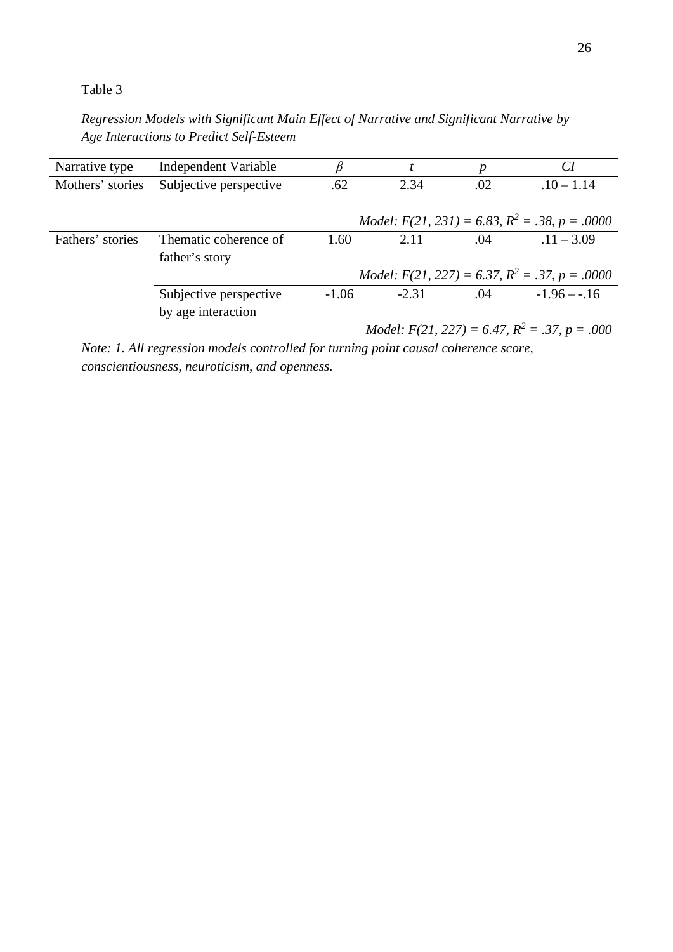Table 3

*Regression Models with Significant Main Effect of Narrative and Significant Narrative by Age Interactions to Predict Self-Esteem*

| Narrative type   | Independent Variable   | β       |         | р   | CI                                                            |
|------------------|------------------------|---------|---------|-----|---------------------------------------------------------------|
| Mothers' stories | Subjective perspective | .62     | 2.34    | .02 | $.10 - 1.14$                                                  |
|                  |                        |         |         |     |                                                               |
|                  |                        |         |         |     | <i>Model:</i> $F(21, 231) = 6.83$ , $R^2 = .38$ , $p = .0000$ |
| Fathers' stories | Thematic coherence of  | 1.60    | 2.11    | .04 | $.11 - 3.09$                                                  |
|                  | father's story         |         |         |     |                                                               |
|                  |                        |         |         |     | <i>Model:</i> $F(21, 227) = 6.37, R^2 = .37, p = .0000$       |
|                  | Subjective perspective | $-1.06$ | $-2.31$ | .04 | $-1.96 - -16$                                                 |
|                  | by age interaction     |         |         |     |                                                               |
|                  |                        |         |         |     | <i>Model:</i> $F(21, 227) = 6.47, R^2 = .37, p = .000$        |

*Note: 1. All regression models controlled for turning point causal coherence score, conscientiousness, neuroticism, and openness.*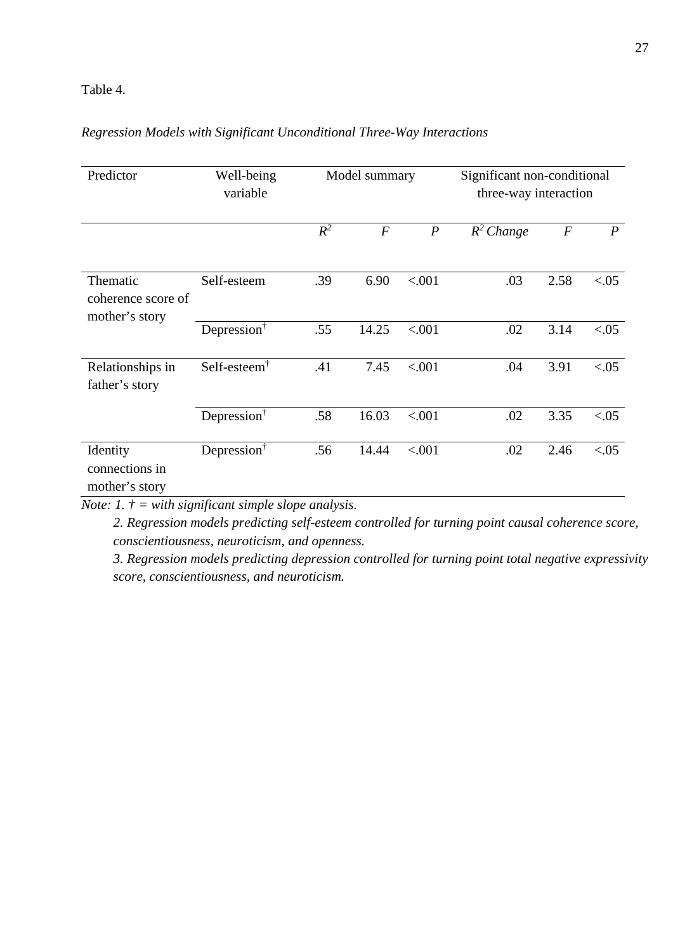#### Table 4.

## *Regression Models with Significant Unconditional Three-Way Interactions*

| Predictor                                        | Well-being<br>variable                      | Model summary |                  |                  | Significant non-conditional<br>three-way interaction |                  |                  |  |
|--------------------------------------------------|---------------------------------------------|---------------|------------------|------------------|------------------------------------------------------|------------------|------------------|--|
|                                                  |                                             | $R^2$         | $\boldsymbol{F}$ | $\boldsymbol{P}$ | $R^2$ Change                                         | $\boldsymbol{F}$ | $\boldsymbol{P}$ |  |
| Thematic<br>coherence score of<br>mother's story | Self-esteem                                 | .39           | 6.90             | < .001           | .03                                                  | 2.58             | < 0.05           |  |
|                                                  | Depression <sup>†</sup>                     | .55           | 14.25            | < .001           | .02                                                  | 3.14             | < 0.05           |  |
| Relationships in<br>father's story               | Self-esteem <sup><math>\dagger</math></sup> | .41           | 7.45             | < .001           | .04                                                  | 3.91             | < 0.05           |  |
|                                                  | Depression $†$                              | .58           | 16.03            | < .001           | .02                                                  | 3.35             | < 0.05           |  |
| Identity<br>connections in<br>mother's story     | Depression <sup>†</sup>                     | .56           | 14.44            | < .001           | .02                                                  | 2.46             | < 0.05           |  |

*Note: 1. † = with significant simple slope analysis.* 

*2. Regression models predicting self-esteem controlled for turning point causal coherence score, conscientiousness, neuroticism, and openness.* 

*3. Regression models predicting depression controlled for turning point total negative expressivity score, conscientiousness, and neuroticism.*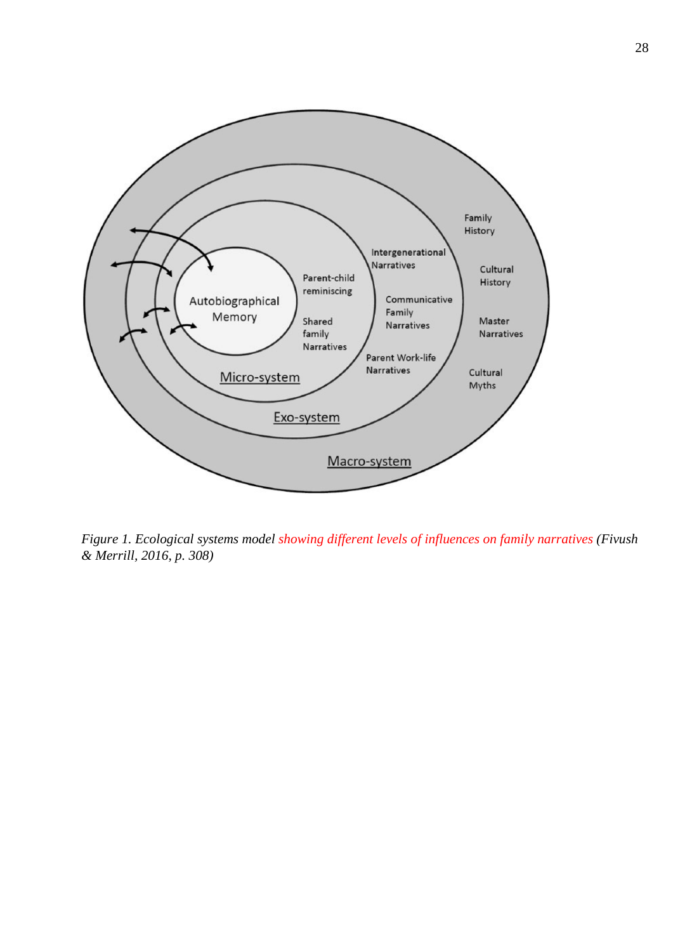

*Figure 1. Ecological systems model showing different levels of influences on family narratives (Fivush & Merrill, 2016, p. 308)*